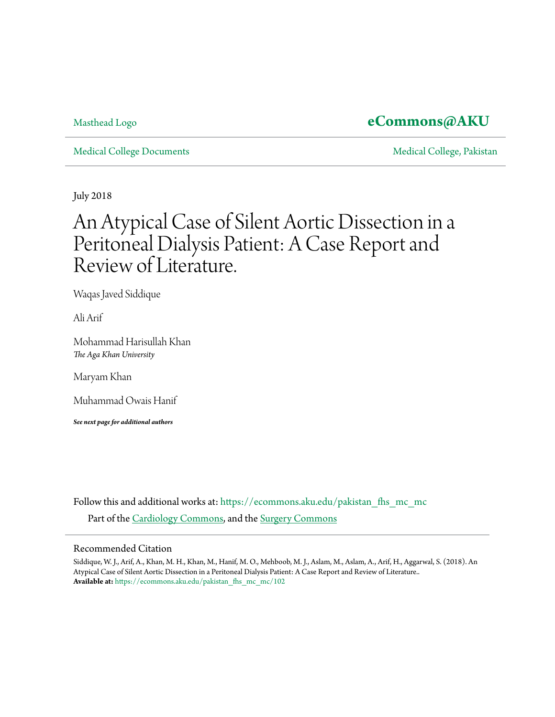### [Masthead Logo](http://www.aku.edu/Pages/home.aspx?utm_source=ecommons.aku.edu%2Fpakistan_fhs_mc_mc%2F102&utm_medium=PDF&utm_campaign=PDFCoverPages) **[eCommons@AKU](https://ecommons.aku.edu?utm_source=ecommons.aku.edu%2Fpakistan_fhs_mc_mc%2F102&utm_medium=PDF&utm_campaign=PDFCoverPages)**

[Medical College Documents](https://ecommons.aku.edu/pakistan_fhs_mc_mc?utm_source=ecommons.aku.edu%2Fpakistan_fhs_mc_mc%2F102&utm_medium=PDF&utm_campaign=PDFCoverPages) and [Medical College, Pakistan](https://ecommons.aku.edu/pakistan_fhs_mc?utm_source=ecommons.aku.edu%2Fpakistan_fhs_mc_mc%2F102&utm_medium=PDF&utm_campaign=PDFCoverPages)

July 2018

# An Atypical Case of Silent Aortic Dissection in a Peritoneal Dialysis Patient: A Case Report and Review of Literature.

Waqas Javed Siddique

Ali Arif

Mohammad Harisullah Khan *The Aga Khan University*

Maryam Khan

Muhammad Owais Hanif

*See next page for additional authors*

Follow this and additional works at: [https://ecommons.aku.edu/pakistan\\_fhs\\_mc\\_mc](https://ecommons.aku.edu/pakistan_fhs_mc_mc?utm_source=ecommons.aku.edu%2Fpakistan_fhs_mc_mc%2F102&utm_medium=PDF&utm_campaign=PDFCoverPages) Part of the [Cardiology Commons](http://network.bepress.com/hgg/discipline/683?utm_source=ecommons.aku.edu%2Fpakistan_fhs_mc_mc%2F102&utm_medium=PDF&utm_campaign=PDFCoverPages), and the [Surgery Commons](http://network.bepress.com/hgg/discipline/706?utm_source=ecommons.aku.edu%2Fpakistan_fhs_mc_mc%2F102&utm_medium=PDF&utm_campaign=PDFCoverPages)

#### Recommended Citation

Siddique, W. J., Arif, A., Khan, M. H., Khan, M., Hanif, M. O., Mehboob, M. J., Aslam, M., Aslam, A., Arif, H., Aggarwal, S. (2018). An Atypical Case of Silent Aortic Dissection in a Peritoneal Dialysis Patient: A Case Report and Review of Literature.. **Available at:** [https://ecommons.aku.edu/pakistan\\_fhs\\_mc\\_mc/102](https://ecommons.aku.edu/pakistan_fhs_mc_mc/102)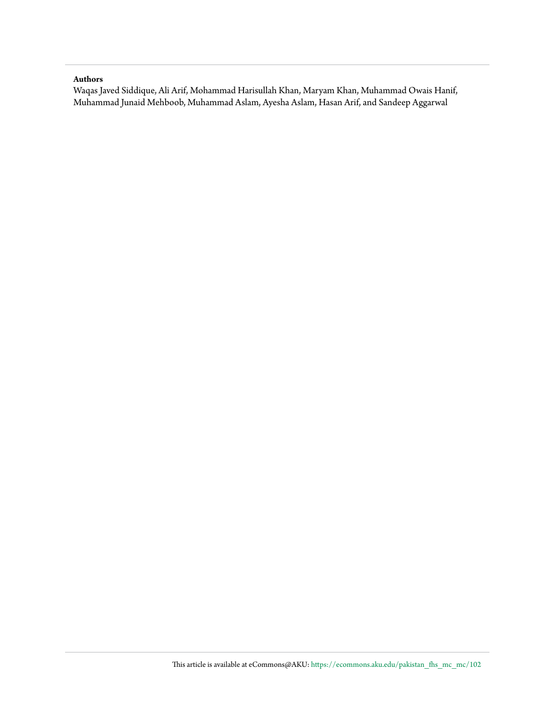#### **Authors**

Waqas Javed Siddique, Ali Arif, Mohammad Harisullah Khan, Maryam Khan, Muhammad Owais Hanif, Muhammad Junaid Mehboob, Muhammad Aslam, Ayesha Aslam, Hasan Arif, and Sandeep Aggarwal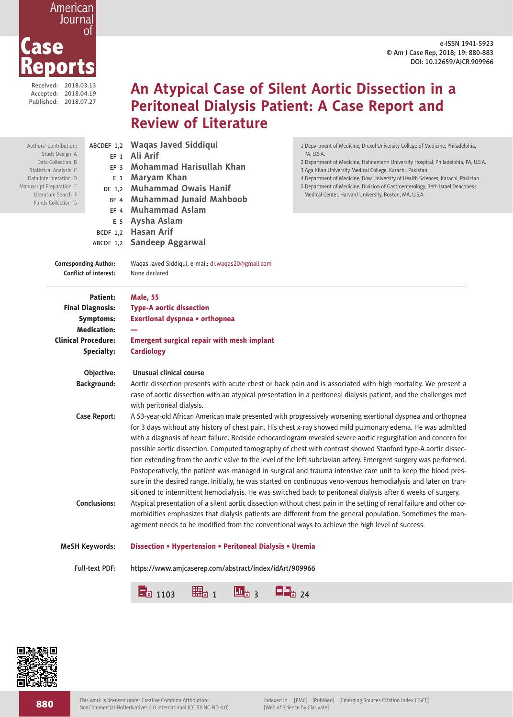e-ISSN 1941-5923 © Am J Case Rep, 2018; 19: 880-883 DOI: 10.12659/AJCR.909966



Received: 2018.03.13 Accepted: 2018.04.19 Published: 2018.07.27

## **An Atypical Case of Silent Aortic Dissection in a Peritoneal Dialysis Patient: A Case Report and Review of Literature**

| Authors' Contribution:<br>Study Design A<br>$EF_1$<br>Data Collection B<br>FF <sub>3</sub><br>Statistical Analysis C<br>E 1<br>Data Interpretation D<br>Manuscript Preparation E<br>DE 1,2<br>Literature Search F<br>BF <sub>4</sub><br>Funds Collection G<br>FF <sub>4</sub> |            | ABCDEF 1,2 Waqas Javed Siddiqui<br>Ali Arif<br>Mohammad Harisullah Khan<br>Maryam Khan<br><b>Muhammad Owais Hanif</b><br><b>Muhammad Junaid Mahboob</b><br><b>Muhammad Aslam</b>                                                                                                                                                                                                                                                                                                                                                                                                                                                                                                                                                                                                                                 | 1 Department of Medicine, Drexel University College of Medicine, Philadelphia,<br>PA, U.S.A.<br>2 Department of Medicine, Hahnemann University Hospital, Philadelphia, PA, U.S.A.<br>3 Aga Khan University Medical College, Karachi, Pakistan<br>4 Department of Medicine, Dow University of Health Sciences, Karachi, Pakistan<br>5 Department of Medicine, Division of Gastroenterology, Beth Israel Deaconess<br>Medical Center, Harvard University, Boston, MA, U.S.A. |  |
|-------------------------------------------------------------------------------------------------------------------------------------------------------------------------------------------------------------------------------------------------------------------------------|------------|------------------------------------------------------------------------------------------------------------------------------------------------------------------------------------------------------------------------------------------------------------------------------------------------------------------------------------------------------------------------------------------------------------------------------------------------------------------------------------------------------------------------------------------------------------------------------------------------------------------------------------------------------------------------------------------------------------------------------------------------------------------------------------------------------------------|----------------------------------------------------------------------------------------------------------------------------------------------------------------------------------------------------------------------------------------------------------------------------------------------------------------------------------------------------------------------------------------------------------------------------------------------------------------------------|--|
|                                                                                                                                                                                                                                                                               | E 5        | Aysha Aslam                                                                                                                                                                                                                                                                                                                                                                                                                                                                                                                                                                                                                                                                                                                                                                                                      |                                                                                                                                                                                                                                                                                                                                                                                                                                                                            |  |
| <b>BCDF 1.2</b>                                                                                                                                                                                                                                                               |            | <b>Hasan Arif</b>                                                                                                                                                                                                                                                                                                                                                                                                                                                                                                                                                                                                                                                                                                                                                                                                |                                                                                                                                                                                                                                                                                                                                                                                                                                                                            |  |
|                                                                                                                                                                                                                                                                               |            | ABCDF 1,2 Sandeep Aggarwal                                                                                                                                                                                                                                                                                                                                                                                                                                                                                                                                                                                                                                                                                                                                                                                       |                                                                                                                                                                                                                                                                                                                                                                                                                                                                            |  |
| <b>Corresponding Author:</b><br><b>Conflict of interest:</b>                                                                                                                                                                                                                  |            | Waqas Javed Siddiqui, e-mail: dr.waqas20@gmail.com<br>None declared                                                                                                                                                                                                                                                                                                                                                                                                                                                                                                                                                                                                                                                                                                                                              |                                                                                                                                                                                                                                                                                                                                                                                                                                                                            |  |
|                                                                                                                                                                                                                                                                               | Patient:   | <b>Male, 55</b>                                                                                                                                                                                                                                                                                                                                                                                                                                                                                                                                                                                                                                                                                                                                                                                                  |                                                                                                                                                                                                                                                                                                                                                                                                                                                                            |  |
| <b>Final Diagnosis:</b>                                                                                                                                                                                                                                                       |            | <b>Type-A aortic dissection</b>                                                                                                                                                                                                                                                                                                                                                                                                                                                                                                                                                                                                                                                                                                                                                                                  |                                                                                                                                                                                                                                                                                                                                                                                                                                                                            |  |
| <b>Symptoms:</b>                                                                                                                                                                                                                                                              |            | Exertional dyspnea • orthopnea                                                                                                                                                                                                                                                                                                                                                                                                                                                                                                                                                                                                                                                                                                                                                                                   |                                                                                                                                                                                                                                                                                                                                                                                                                                                                            |  |
| <b>Medication:</b>                                                                                                                                                                                                                                                            |            |                                                                                                                                                                                                                                                                                                                                                                                                                                                                                                                                                                                                                                                                                                                                                                                                                  |                                                                                                                                                                                                                                                                                                                                                                                                                                                                            |  |
| <b>Clinical Procedure:</b>                                                                                                                                                                                                                                                    |            | <b>Emergent surgical repair with mesh implant</b>                                                                                                                                                                                                                                                                                                                                                                                                                                                                                                                                                                                                                                                                                                                                                                |                                                                                                                                                                                                                                                                                                                                                                                                                                                                            |  |
|                                                                                                                                                                                                                                                                               | Specialty: | <b>Cardiology</b>                                                                                                                                                                                                                                                                                                                                                                                                                                                                                                                                                                                                                                                                                                                                                                                                |                                                                                                                                                                                                                                                                                                                                                                                                                                                                            |  |
|                                                                                                                                                                                                                                                                               | Objective: | Unusual clinical course                                                                                                                                                                                                                                                                                                                                                                                                                                                                                                                                                                                                                                                                                                                                                                                          |                                                                                                                                                                                                                                                                                                                                                                                                                                                                            |  |
| Background:                                                                                                                                                                                                                                                                   |            | Aortic dissection presents with acute chest or back pain and is associated with high mortality. We present a                                                                                                                                                                                                                                                                                                                                                                                                                                                                                                                                                                                                                                                                                                     |                                                                                                                                                                                                                                                                                                                                                                                                                                                                            |  |
|                                                                                                                                                                                                                                                                               |            | with peritoneal dialysis.                                                                                                                                                                                                                                                                                                                                                                                                                                                                                                                                                                                                                                                                                                                                                                                        | case of aortic dissection with an atypical presentation in a peritoneal dialysis patient, and the challenges met                                                                                                                                                                                                                                                                                                                                                           |  |
| Case Report:                                                                                                                                                                                                                                                                  |            | A 53-year-old African American male presented with progressively worsening exertional dyspnea and orthopnea<br>for 3 days without any history of chest pain. His chest x-ray showed mild pulmonary edema. He was admitted<br>with a diagnosis of heart failure. Bedside echocardiogram revealed severe aortic regurgitation and concern for<br>possible aortic dissection. Computed tomography of chest with contrast showed Stanford type-A aortic dissec-<br>tion extending from the aortic valve to the level of the left subclavian artery. Emergent surgery was performed.<br>Postoperatively, the patient was managed in surgical and trauma intensive care unit to keep the blood pres-<br>sure in the desired range. Initially, he was started on continuous veno-venous hemodialysis and later on tran- |                                                                                                                                                                                                                                                                                                                                                                                                                                                                            |  |
|                                                                                                                                                                                                                                                                               |            |                                                                                                                                                                                                                                                                                                                                                                                                                                                                                                                                                                                                                                                                                                                                                                                                                  |                                                                                                                                                                                                                                                                                                                                                                                                                                                                            |  |

sitioned to intermittent hemodialysis. He was switched back to peritoneal dialysis after 6 weeks of surgery. **Conclusions:** Atypical presentation of a silent aortic dissection without chest pain in the setting of renal failure and other comorbidities emphasizes that dialysis patients are different from the general population. Sometimes the management needs to be modified from the conventional ways to achieve the high level of success.

**MeSH Keywords:** Dissection • Hypertension • Peritoneal Dialysis • Uremia





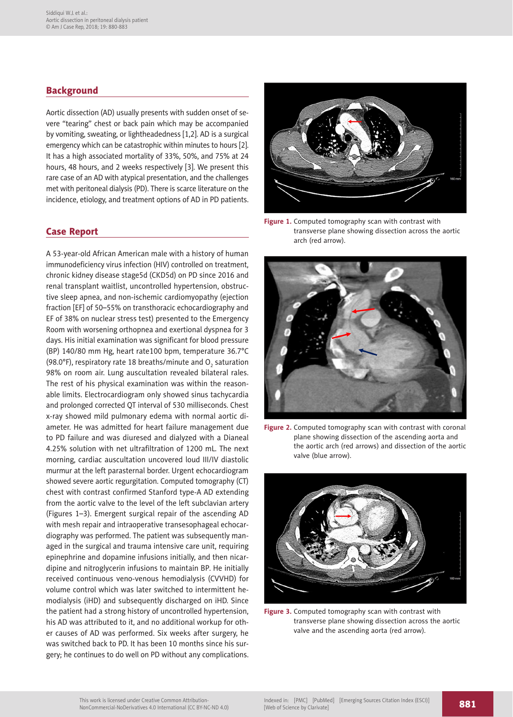#### **Background**

Aortic dissection (AD) usually presents with sudden onset of severe "tearing" chest or back pain which may be accompanied by vomiting, sweating, or lightheadedness [1,2]. AD is a surgical emergency which can be catastrophic within minutes to hours [2]. It has a high associated mortality of 33%, 50%, and 75% at 24 hours, 48 hours, and 2 weeks respectively [3]. We present this rare case of an AD with atypical presentation, and the challenges met with peritoneal dialysis (PD). There is scarce literature on the incidence, etiology, and treatment options of AD in PD patients.

#### Case Report

A 53-year-old African American male with a history of human immunodeficiency virus infection (HIV) controlled on treatment, chronic kidney disease stage5d (CKD5d) on PD since 2016 and renal transplant waitlist, uncontrolled hypertension, obstructive sleep apnea, and non-ischemic cardiomyopathy (ejection fraction [EF] of 50–55% on transthoracic echocardiography and EF of 38% on nuclear stress test) presented to the Emergency Room with worsening orthopnea and exertional dyspnea for 3 days. His initial examination was significant for blood pressure (BP) 140/80 mm Hg, heart rate100 bpm, temperature 36.7°C (98.0°F), respiratory rate 18 breaths/minute and  $\mathrm{O}_2^{}$  saturation 98% on room air. Lung auscultation revealed bilateral rales. The rest of his physical examination was within the reasonable limits. Electrocardiogram only showed sinus tachycardia and prolonged corrected QT interval of 530 milliseconds. Chest x-ray showed mild pulmonary edema with normal aortic diameter. He was admitted for heart failure management due to PD failure and was diuresed and dialyzed with a Dianeal 4.25% solution with net ultrafiltration of 1200 mL. The next morning, cardiac auscultation uncovered loud III/IV diastolic murmur at the left parasternal border. Urgent echocardiogram showed severe aortic regurgitation. Computed tomography (CT) chest with contrast confirmed Stanford type-A AD extending from the aortic valve to the level of the left subclavian artery (Figures 1–3). Emergent surgical repair of the ascending AD with mesh repair and intraoperative transesophageal echocardiography was performed. The patient was subsequently managed in the surgical and trauma intensive care unit, requiring epinephrine and dopamine infusions initially, and then nicardipine and nitroglycerin infusions to maintain BP. He initially received continuous veno-venous hemodialysis (CVVHD) for volume control which was later switched to intermittent hemodialysis (iHD) and subsequently discharged on iHD. Since the patient had a strong history of uncontrolled hypertension, his AD was attributed to it, and no additional workup for other causes of AD was performed. Six weeks after surgery, he was switched back to PD. It has been 10 months since his surgery; he continues to do well on PD without any complications.



**Figure 1.** Computed tomography scan with contrast with transverse plane showing dissection across the aortic arch (red arrow).



**Figure 2.** Computed tomography scan with contrast with coronal plane showing dissection of the ascending aorta and the aortic arch (red arrows) and dissection of the aortic valve (blue arrow).



**Figure 3.** Computed tomography scan with contrast with transverse plane showing dissection across the aortic valve and the ascending aorta (red arrow).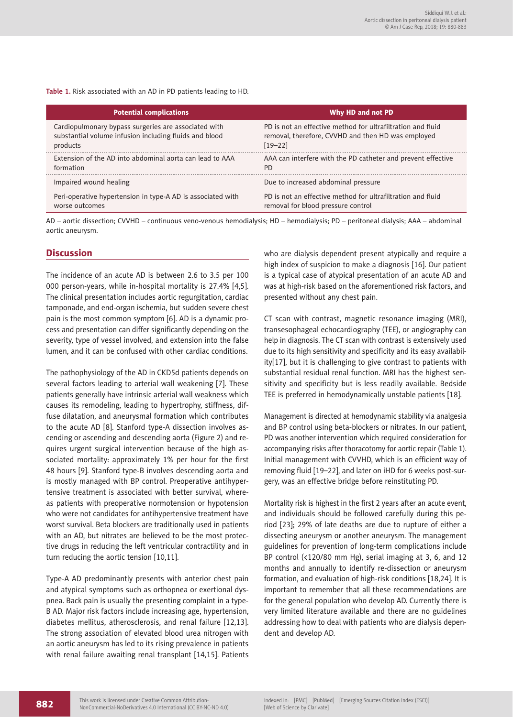**Table 1.** Risk associated with an AD in PD patients leading to HD.

| <b>Potential complications</b>                              | Why HD and not PD                                            |
|-------------------------------------------------------------|--------------------------------------------------------------|
| Cardiopulmonary bypass surgeries are associated with        | PD is not an effective method for ultrafiltration and fluid  |
| substantial volume infusion including fluids and blood      | removal, therefore, CVVHD and then HD was employed           |
| products                                                    | $[19 - 22]$                                                  |
| Extension of the AD into abdominal aorta can lead to AAA    | AAA can interfere with the PD catheter and prevent effective |
| formation                                                   | PD.                                                          |
| Impaired wound healing                                      | Due to increased abdominal pressure                          |
| Peri-operative hypertension in type-A AD is associated with | PD is not an effective method for ultrafiltration and fluid  |
| worse outcomes                                              | removal for blood pressure control                           |

AD – aortic dissection; CVVHD – continuous veno-venous hemodialysis; HD – hemodialysis; PD – peritoneal dialysis; AAA – abdominal aortic aneurysm.

#### **Discussion**

The incidence of an acute AD is between 2.6 to 3.5 per 100 000 person-years, while in-hospital mortality is 27.4% [4,5]. The clinical presentation includes aortic regurgitation, cardiac tamponade, and end-organ ischemia, but sudden severe chest pain is the most common symptom [6]. AD is a dynamic process and presentation can differ significantly depending on the severity, type of vessel involved, and extension into the false lumen, and it can be confused with other cardiac conditions.

The pathophysiology of the AD in CKD5d patients depends on several factors leading to arterial wall weakening [7]. These patients generally have intrinsic arterial wall weakness which causes its remodeling, leading to hypertrophy, stiffness, diffuse dilatation, and aneurysmal formation which contributes to the acute AD [8]. Stanford type-A dissection involves ascending or ascending and descending aorta (Figure 2) and requires urgent surgical intervention because of the high associated mortality: approximately 1% per hour for the first 48 hours [9]. Stanford type-B involves descending aorta and is mostly managed with BP control. Preoperative antihypertensive treatment is associated with better survival, whereas patients with preoperative normotension or hypotension who were not candidates for antihypertensive treatment have worst survival. Beta blockers are traditionally used in patients with an AD, but nitrates are believed to be the most protective drugs in reducing the left ventricular contractility and in turn reducing the aortic tension [10,11].

Type-A AD predominantly presents with anterior chest pain and atypical symptoms such as orthopnea or exertional dyspnea. Back pain is usually the presenting complaint in a type-B AD. Major risk factors include increasing age, hypertension, diabetes mellitus, atherosclerosis, and renal failure [12,13]. The strong association of elevated blood urea nitrogen with an aortic aneurysm has led to its rising prevalence in patients with renal failure awaiting renal transplant [14,15]. Patients

who are dialysis dependent present atypically and require a high index of suspicion to make a diagnosis [16]. Our patient is a typical case of atypical presentation of an acute AD and was at high-risk based on the aforementioned risk factors, and presented without any chest pain.

CT scan with contrast, magnetic resonance imaging (MRI), transesophageal echocardiography (TEE), or angiography can help in diagnosis. The CT scan with contrast is extensively used due to its high sensitivity and specificity and its easy availability[17], but it is challenging to give contrast to patients with substantial residual renal function. MRI has the highest sensitivity and specificity but is less readily available. Bedside TEE is preferred in hemodynamically unstable patients [18].

Management is directed at hemodynamic stability via analgesia and BP control using beta-blockers or nitrates. In our patient, PD was another intervention which required consideration for accompanying risks after thoracotomy for aortic repair (Table 1). Initial management with CVVHD, which is an efficient way of removing fluid [19–22], and later on iHD for 6 weeks post-surgery, was an effective bridge before reinstituting PD.

Mortality risk is highest in the first 2 years after an acute event, and individuals should be followed carefully during this period [23]; 29% of late deaths are due to rupture of either a dissecting aneurysm or another aneurysm. The management guidelines for prevention of long-term complications include BP control (<120/80 mm Hg), serial imaging at 3, 6, and 12 months and annually to identify re-dissection or aneurysm formation, and evaluation of high-risk conditions [18,24]. It is important to remember that all these recommendations are for the general population who develop AD. Currently there is very limited literature available and there are no guidelines addressing how to deal with patients who are dialysis dependent and develop AD.